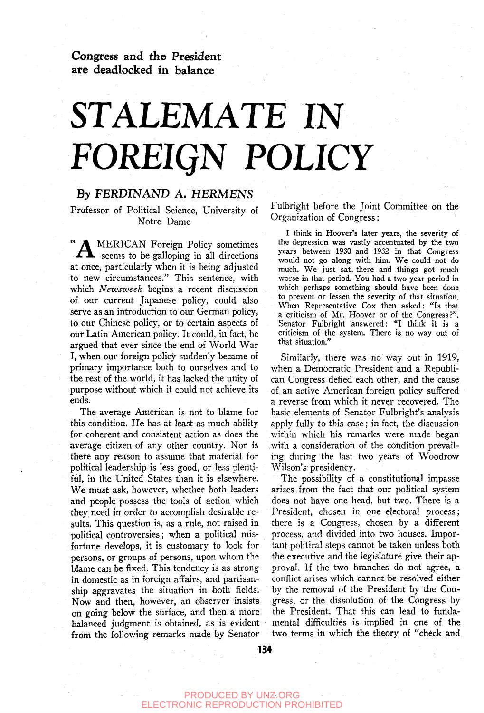Congress and the President are deadlocked in balance

## STALEMATE IN *FOREIQN* **POLICY**

### By FERDINAND A. HERMENS

Professor of Political Science, University of Notre Dame

" **A** MERICAN Foreign Policy sometimes  $\blacktriangle$  seems to be galloping in all directions at once, particularly when it is being adjusted to new circumstances." This sentence, with which *Newsweek* begins a recent discussion of our current Japanese policy, could also serve as an introduction to our German policy, to our Chinese policy, or to certain aspects of our Latin American policy. It could, in fact, be argued that ever since the end of World War I, when our foreign policy suddenly became of primary importance both to ourselves and to the rest of the world, it has lacked the unity of purpose without which it could not achieve its ends.

The average American is not to blame for this condition. He has at least as much ability for coherent and consistent action as does the average citizen of any other country. Nor is there any reason to assume that material for political leadership is less good, or less plentiful, in the United States than it is elsewhere. We must ask, however, whether both leaders and people possess the tools of action which they need in order to accomplish desirable results. This question is, as a rule, not raised in political controversies; when a political misfortune develops, it is customary to look for persons, or groups of persons, upon whom the blame can be fixed. This tendency is as strong in domestic as in foreign affairs, and partisanship aggravates the situation in both fields. Now and then, however, an observer insists on going below the surface, and then a more balanced judgment is obtained, as is evident from the following remarks made by Senator

Fulbright before the Joint Committee on the Organization of Congress:

I think in Hoover's later years, the severity of the depression was vastly accentuated by the two years between 1930 and 1932 in that Congress would not go along with him. We could not do much. We just sat, there and things got much worse in that period. You had a two year period in which perhaps something should have been done to prevent or lessen the severity of that situation. When Representative Cox then asked: "Is that a criticism of Mr. Hoover or of the Congress?", Senator Fulbright answered: "I think it is a criticism of the system. There is no way out of that situation."

Similarly, there was no way out in 1919, when a Democratic President and a Republican Congress defied each other, and the cause of an active American foreign policy suffered a reverse from which it never recovered. The basic elements of Senator Fulbright's analysis apply fully to this case; in fact, the discussion within which his remarks were made began with a consideration of the condition prevailing during the last two years of Woodrow Wilson's presidency.

The possibility of a constitutional impasse arises from the fact that our political system does not have one head, but two. There is a President, chosen in one electoral process; there is a Congress, chosen by a different process, and divided into two houses. Important political steps cannot be taken unless both the executive and the legislature give their approval. If the two branches do not agree, a conflict arises which cannot be resolved either by the removal of the President by the Congress, or the dissolution of the Congress by the President. That this can lead to fundamental difficulties is implied in one of the two terms in which the theory of "check and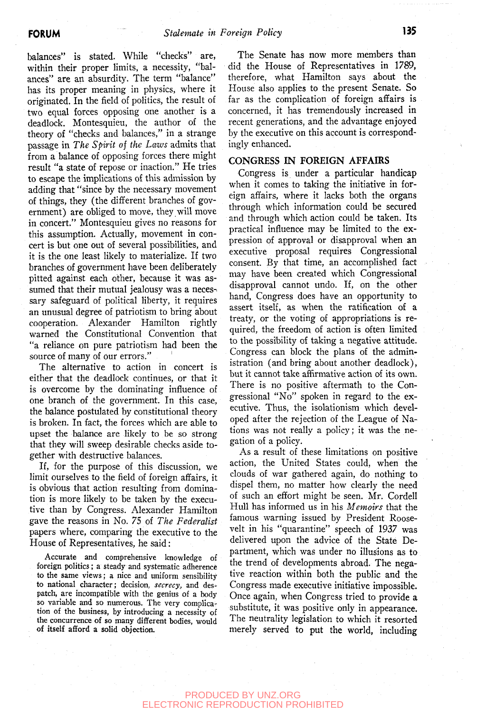balances" is stated. While "checks" are, within their proper limits, a necessity, "balances" are an absurdity. The term "balance" has its proper meaning in physics, where it originated. In the field of politics, the result of two equal forces opposing one another is a deadlock. Montesquieu, the author of the theory of "checks and balances," in a strange passage in *The Spirit of the Laws* admits that from a balance of opposing forces there might result "a state of repose or inaction." He tries to escape the implications of this admission by adding that "since by the necessary movement of things, they (the different branches of government) are obliged to move, they will move in concert." Montesquieu gives no reasons for this assumption. Actually, movement in concert is but one out of several possibilities, and it is the one least likely to materialize. If two branches of government have been deliberately pitted against each other, because it was assumed that their mutual jealousy was a necessary safeguard of political liberty, it requires an unusual degree of patriotism to bring about cooperation. Alexander Hamilton rightly warned the Constitutional Convention that "a reliance on pure patriotism had been the source of many of our errors."

The alternative to action in concert is either that the deadlock continues, or that it is overcome by the dominating influence of one branch of the government. In this case, the balance postulated by constitutional theory is broken. In fact, the forces which are able to upset the balance are likely to be so strong that they will sweep desirable checks aside together with destructive balances.

If, for the purpose of this discussion, we limit ourselves to the field of foreign affairs, it is obvious that action resulting from domination is more likely to be taken by the executive than by Congress. Alexander Hamilton gave the reasons in No. 75 of *The Federalist*  papers where, comparing the executive to the House of Representatives, he said:

Accurate and comprehensive knowledge of foreign politics; a steady and systematic adherence to the same views; a nice and uniform sensibility to national character; decision, *secrecy,* and despatch, are incompatible with the genius of a body so variable and so numerous. The very complication of the business, by introducing a necessity of the concurrence of so many different bodies, would of itself afford a solid objection.

The Senate has now more members than did the House of Representatives in 1789, therefore, what Hamilton says about the House also applies to the present Senate. So far as the complication of foreign affairs is concerned, it has tremendously increased in recent generations, and the advantage enjoyed by the executive on this account is correspondingly enhanced.

#### **CONGRESS IN FOREIGN AFFAIRS**

Congress is under a particular handicap when it comes to taking the initiative in foreign affairs, where it lacks both the organs through which information could be secured and through which action could be taken. Its practical influence may be limited to the expression of approval or disapproval when an executive proposal requires Congressional consent. By that time, an accomplished fact may have been created which Congressional disapproval cannot undo. If, on the other hand. Congress does have an opportunity to assert itself, as when the ratification of a treaty, or the voting of appropriations is required, the freedom of action is often limited to the possibility of taking a negative attitude. Congress can block the plans of the administration (and bring about another deadlock), but it cannot take affirmative action of its own. There is no positive aftermath to the Congressional "No" spoken in regard to the executive. Thus, the isolationism which developed after the rejection of the League of Nations was not really a policy; it was the negation of a policy.

As a result of these limitations on positive action, the United States could, when the clouds of war gathered again, do nothing to dispel them, no matter how clearly the need of such an effort might be seen. Mr. Cordell Hull has informed us in his *Memoirs* that the famous warning issued by President Roosevelt in his "quarantine" speech of 1937 was delivered upon the advice of the State Department, which was under no illusions as to the trend of developments abroad. The negative reaction within both the public and the Congress made executive initiative impossible. Once again, when Congress tried to provide a substitute, it was positive only in appearance. The neutrality legislation to which it resorted merely served to put the world, including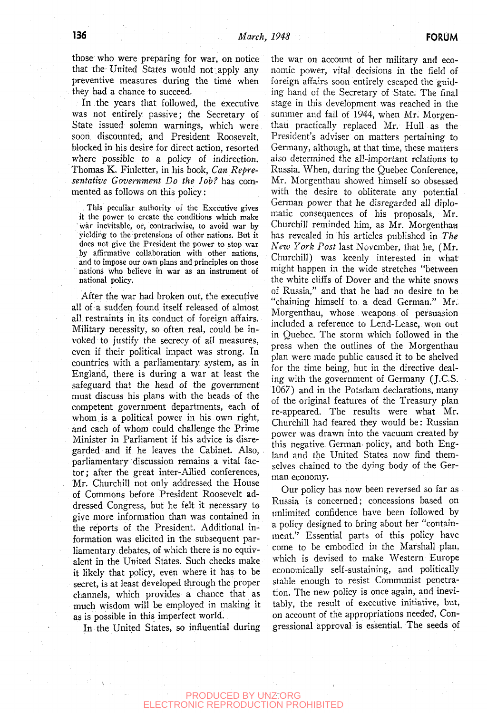those who were preparing for war, on notice that the United States would not apply any preventive measures during the time when they had a chance to succeed.

In the years that followed, the executive was not entirely passive; the Secretary of State issued solemn warnings, which were soon discounted, and President Roosevelt, blocked in his desire for direct action, resorted where possible to a policy of indirection. Thomas K. Finletter, in his book, *Can Representative Government Do the Job?* has commented as follows on this policy:

This peculiar authority of the Executive gives it the power to create the conditions which make war inevitable, or, contrariwise, to avoid war by yielding to the pretensions of other nations. But it does not give the President the power to stop war by affirmative collaboration with other nations, and to impose our own plans and principles on those nations who believe in war as an instrument of national policy.

After the war had broken out, the executive all of a sudden found itself released of almost all restraints in its conduct of foreign affairs. Military necessity, so often real, could be invoked to justify the secrecy of all measures, even if their political impact was strong. In countries with a parliamentary system, as in England, there is during a war at least the safeguard that the head of the government must discuss his plans with the heads of the competent government departments, each of whom is a political power in his own right, and each of whom could challenge the Prime Minister in Parliament if his advice is disregarded and if he leaves the Cabinet. Also, parliamentary discussion remains a vital factor; after the great inter-Allied conferences, Mr. Churchill not only addressed the House of Commons before President Roosevelt addressed Congress, but he felt it necessary to give more information than was contained in the reports of the President. Additional information was elicited in the subsequent parliamentary debates, of which there is no equivalent in the United States. Such checks make it likely that policy, even where it has to be secret, is at least developed through the proper channels, which provides a chance that as much wisdom will be employed in making it as is possible in this imperfect world.

In the United States, so influential during

the war on account of her military and economic power, vital decisions in the field of foreign affairs soon entirely escaped the guiding hand of the Secretary of State. The final stage in this development was reached in the summer and fall of 1944, when Mr. Morgenthau practically replaced Mr. Hull as the President's adviser on matters pertaining to Germany, although, at that time, these matters also determined the all-important relations to Russia. When, during the Quebec Conference, Mr. Morgenthau showed himself so obsessed with the desire to obliterate any potential German power that he disregarded all diplomatic consequences of his proposals, Mr. Churchill reminded him, as Mr. Morgenthau has revealed in his articles published in *The New York Post* last November, that he, (Mr. Churchill) was keenly interested in what might happen in the wide stretches "between the white cliffs of Dover and the white snows of Russia," and that he had no desire to be "chaining himself to a dead German." Mr. Morgenthau, whose weapons of persuasion included a reference to Lend-Lease, won out in Quebec. The storm which followed in the press when the outlines of the Morgenthau plan were made public caused it to be shelved for the time being, but in the directive dealing with the government of Germany (J.C.S. 1067) and in the Potsdam declarations, many of the original features of the Treasury plan re-appeared. The results were what Mr. Churchill had feared they would be: Russian power was drawn into the vacuum created by this negative German, policy, and both England and the United States now find themselves chained to the dying body of the German economy.

Our policy has now been reversed so far as Russia is concerned; concessions based on unlimited confidence have been followed by a policy designed to bring about her "containment." Essential parts of this policy have come to be embodied in the Marshall plan, which is devised to make Western Europe economically self-sustaining, and politically stable enough to resist Communist penetration. The new policy is once again, and inevitably, the result of executive initiative, but, on account of the appropriations needed, Congressional approval is essential. The seeds of

#### PRODUCED BY UNZ.ORG TRONIC REPRODUCTION PROHIBITED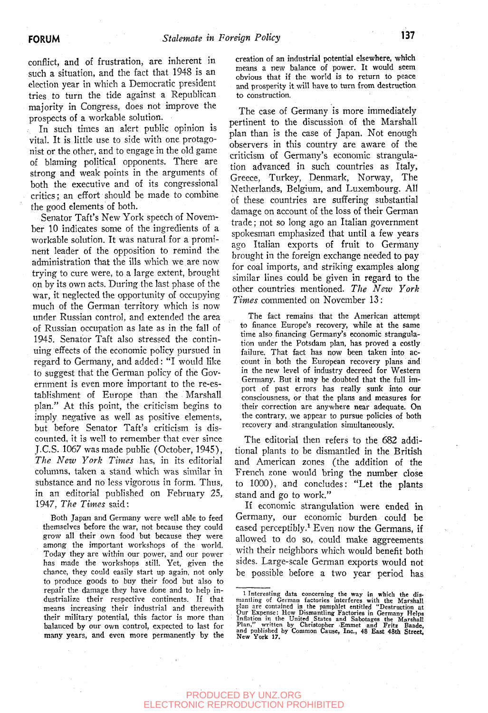conflict, and of frustration, are inherent in such a situation, and the fact that 1948 is an election year in which a Democratic president tries to turn the tide against a Republican majority in Congress, does not improve the prospects of a workable solution.

. In such times an alert public opinion is vital. It is little use to side with one protagonist or the other, and to engage in the old game of blaming political opponents. There are strong and weak points in the arguments of both the executive and of its congressional critics; an effort should be made to combine the good elements of both.

Senator Taft's New York speech of November 10 indicates some of the ingredients of a workable solution. It was natural for a prominent leader of the opposition to remind the administration that the ills which we are now trying to cure were, to a large extent, brought on by its own acts. During the last phase of the war, it neglected the opportunity of occupying much of the German territory which is now under Russian control, and extended the area of Russian occupation as late as in the fall of 1945. Senator Taft also stressed the continuing effects of the economic policy pursued in regard to Germany, and added: "I would like to suggest that the German policy of the Government is even more important to the re-establishment of Europe than the Marshall plan." At this point, the criticism begins to imply negative as well as positive elements, but before Senator Taft's criticism is discounted, it is well to remember that ever since J.C.S. 1067 was made public (October, 1945), *The New York Times* has, in its editorial columns, taken a stand which was similar in substance and no less vigorous in form. Thus, in an editorial published on February 25, 1947, *The Times* said:

Both Japan and Germany were well able to feed themselves before the war, not because they could grow all their own food but because they were among the important workshops of the world. Today they are within our power, and our power has made the workshops still. Yet, given the chance, they could easily start up again, not only to produce goods to buy their food but also to repair the damage they have done and to help industrialize their respective continents. If that means increasing their industrial and therewith their military potential, this factor is more than balanced by our own control, expected to last for many years, and even more permanently by the

creation of an industrial potential elsewhere, which means a new balance of power. It would seem obvious that if the world is to return to peace and prosperity it will have to turn from destruction to construction.

The case of Germany is more immediately pertinent to the discussion of the Marshall plan than is the case of Japan. Not enough observers in this country are aware of the criticism of Germany's economic strangulation advanced in such countries as Italy, Greece, Turkey, Denmark, Norway, The Netherlands, Belgium, and Luxembourg. All of these countries are suffering substantial damage on account of the loss of their German trade; not so long ago an Italian government spokesman emphasized that until a few years ago Italian exports of fruit to Germany brought in the foreign exchange needed to pay for coal imports, and striking examples along similar lines could be given in regard to the other countries mentioned. *The New York Times* commented on November 13:

The fact remains that the American attempt to finance Europe's recovery, while at the same time also financing Germany's economic strangulation under the Potsdam plan, has proved a costly failure. That fact has now been taken into account in both the European recovery plans and in the new level of industry decreed for Western Germany. But it may be doubted that the full import of past errors has really sunk into our consciousness, or that the plans and measures for their correction are anywhere near adequate. On the contrary, we appear to pursue policies of both recovery and strangulation simultaneously.

The editorial then refers to the 682 additional plants to be dismantled in the British and American zones (the addition of the French zone would bring the number close to 1000), and concludes: "Let the plants stand and go to work."

If economic strangulation were ended in Germany, our economic burden could be eased perceptibly.<sup>1</sup> Even now the Germans, if allowed to do so, could make aggreements with their neighbors which, would benefit both sides. Large-scale German exports would not be possible before a two year period has

#### PRODUCED BY UNZ.ORG ELECTRONIC REPRODUCTION PROHIBITED

<sup>1</sup> Interesting data concerning the way in which the dismantling of German factories interferes with the Marshall plan are contained in the pamphlet entitled "Destruction at Our Expense: How Dismantling Factories in Germany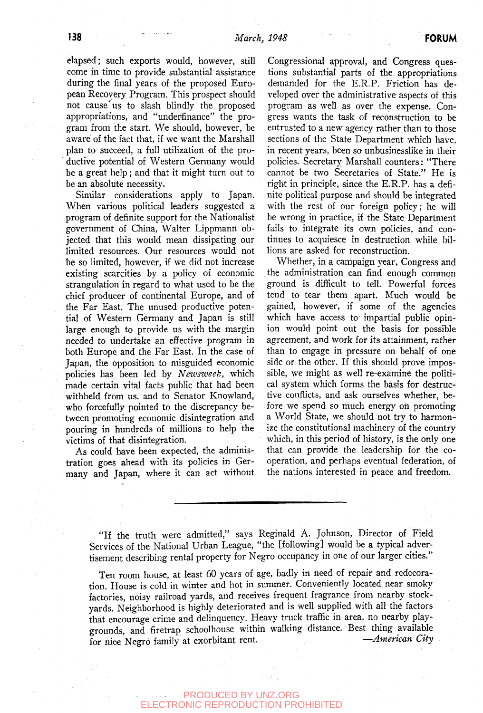elapsed; such exports would, however, still come in time to provide substantial assistance during the final years of the proposed European Recovery Program. This prospect should not cause'us to slash blindly the proposed appropriations, and "undeffinance" the program from the start. We should, however, be aware of the fact that, if we want the Marshall plan to succeed, a full utilization of the productive potential of Western Germany would be a great help; and that it might turn out to be an absolute necessity.

Similar considerations apply to Japan. When various political leaders suggested a program of definite support for the Nationalist government of China, Walter Lippmann objected that this would mean dissipating our limited resources. Our resources would not be so limited, however, if we did not increase existing scarcities by a policy of economic strangulation in regard to what used to be the chief producer of continental Europe, and of the Far East. The unused productive potential of Western Germany and Japan is still large enough to provide us with the margin needed to undertake an effective program in both Europe and the Far East. In the case of Japan, the opposition to misguided economic policies has been led by *Newsweek,* which made certain vital facts public that had been withheld from us, and to Senator Knowland, who forcefully pointed to the discrepancy between promoting economic disintegration and pouring in hundreds of millions to help the victims of that disintegration.

As could have been expected, the administration goes ahead with its policies in Germany and Japan, where it can act without Congressional approval, and Congress questions substantial parts of the appropriations demanded for the E.R.P. Friction has developed over the administrative aspects of this program as well as over the expense. Congress wants the task of reconstruction to be entrusted to a new agency rather than to those sections of the State Department which have, in recent years, been so unbusinesslike in their policies. Secretary Marshall counters: "There cannot be two Secretaries of State." He is right in principle, since the E.R.P. has a definite political purpose and should be integrated with the rest of our foreign policy; he will be wrong in practice, if the State Department fails to integrate its own policies, and continues to acquiesce in destruction while billions are asked for reconstruction.

Whether, in a campaign year, Congress and the administration can find enough common ground is difficult to tell. Powerful forces tend to tear them apart. Much would be gained, however, if some of the agencies which have access to impartial public opinion would point out the basis for possible agreement, and Work for its attainment, rather than to engage in pressure on behalf of one side or the other. If this should prove impossible, we might as well re-examine the political system which forms the basis for destructive conflicts, and ask ourselves whether, before we spend so much energy oh promoting a World State, we should not try to harmonize the constitutional machinery of the country which, in this period of history, is the only one that can provide the leadership for the cooperation, and perhaps eventual federation, of the nations interested in peace and freedom.

"If the truth were admitted," says Reginald A. Johnson, Director of Field Services of the National Urban League, "the [following] would be a typical advertisement describing rental property for Negro occupancy in one of our larger cities."

Ten room house, at least 60 years of age, badly in need of repair and redecoration. House is cold in winter and hot in summer. Conveniently located near smoky factories, noisy railroad yards, and receives frequent fragrance from nearby stockyards. Neighborhood is highly deteriorated and is well supplied with all the factors that encourage crime and delinquency. Heavy truck traffic in area, no nearby playgrounds, and firetrap schoolhouse within walking distance. Best thing available for nice Negro family at exorbitant rent. *—American City*